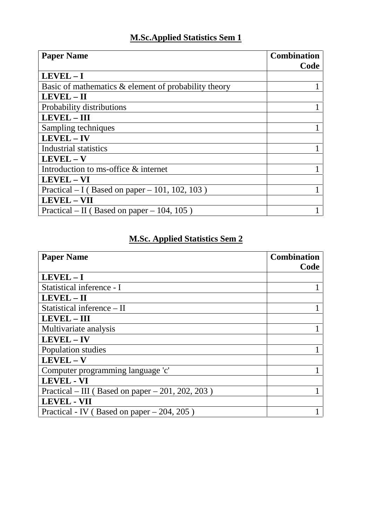## **M.Sc.Applied Statistics Sem 1**

| <b>Paper Name</b>                                    | <b>Combination</b><br>Code |
|------------------------------------------------------|----------------------------|
| $LEVEL - I$                                          |                            |
| Basic of mathematics & element of probability theory |                            |
| $LEVEL - II$                                         |                            |
| Probability distributions                            |                            |
| <b>LEVEL - III</b>                                   |                            |
| Sampling techniques                                  |                            |
| $LEVEL - IV$                                         |                            |
| Industrial statistics                                |                            |
| $LEVEL - V$                                          |                            |
| Introduction to ms-office & internet                 |                            |
| LEVEL - VI                                           |                            |
| Practical $- I$ (Based on paper $-101$ , 102, 103)   |                            |
| <b>LEVEL-VII</b>                                     |                            |
| Practical – II (Based on paper – 104, 105)           |                            |

## **M.Sc. Applied Statistics Sem 2**

| <b>Paper Name</b>                                | <b>Combination</b><br>Code |
|--------------------------------------------------|----------------------------|
| $LEVEL - I$                                      |                            |
| Statistical inference - I                        |                            |
| LEVEL - II                                       |                            |
| Statistical inference – II                       |                            |
| <b>LEVEL - III</b>                               |                            |
| Multivariate analysis                            |                            |
| LEVEL-IV                                         |                            |
| Population studies                               |                            |
| $LEVEL - V$                                      |                            |
| Computer programming language 'c'                |                            |
| <b>LEVEL - VI</b>                                |                            |
| Practical – III (Based on paper – 201, 202, 203) |                            |
| <b>LEVEL - VII</b>                               |                            |
| Practical - IV (Based on paper $-204$ , 205)     |                            |